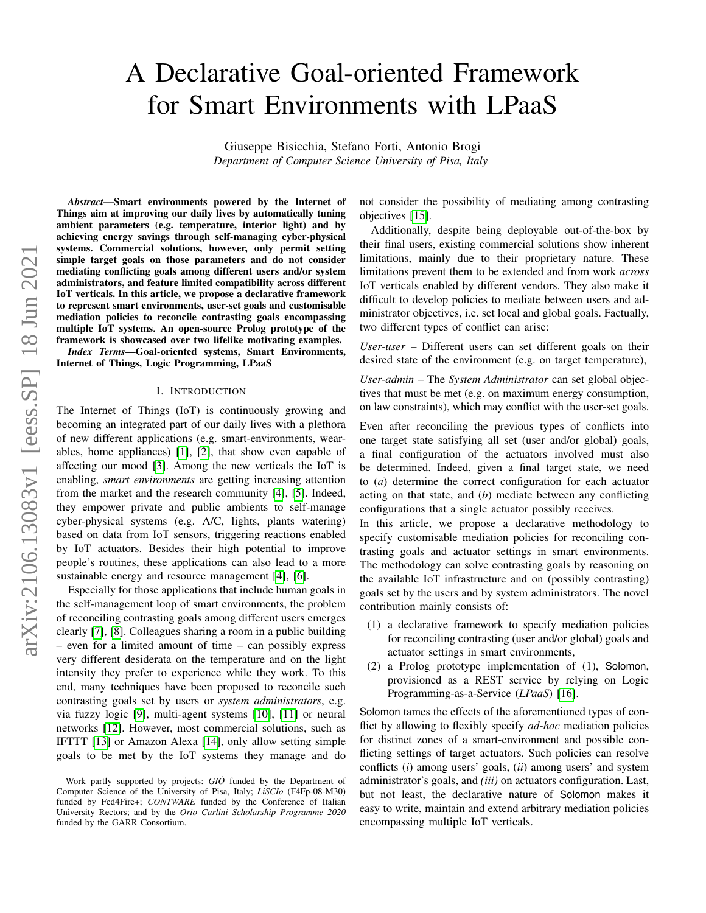# A Declarative Goal-oriented Framework for Smart Environments with LPaaS

Giuseppe Bisicchia, Stefano Forti, Antonio Brogi *Department of Computer Science University of Pisa, Italy*

*Abstract*—Smart environments powered by the Internet of Things aim at improving our daily lives by automatically tuning ambient parameters (e.g. temperature, interior light) and by achieving energy savings through self-managing cyber-physical systems. Commercial solutions, however, only permit setting simple target goals on those parameters and do not consider mediating conflicting goals among different users and/or system administrators, and feature limited compatibility across different IoT verticals. In this article, we propose a declarative framework to represent smart environments, user-set goals and customisable mediation policies to reconcile contrasting goals encompassing multiple IoT systems. An open-source Prolog prototype of the framework is showcased over two lifelike motivating examples.

*Index Terms*—Goal-oriented systems, Smart Environments, Internet of Things, Logic Programming, LPaaS

#### I. INTRODUCTION

The Internet of Things (IoT) is continuously growing and becoming an integrated part of our daily lives with a plethora of new different applications (e.g. smart-environments, wearables, home appliances) [\[1\]](#page-7-0), [\[2\]](#page-7-1), that show even capable of affecting our mood [\[3\]](#page-7-2). Among the new verticals the IoT is enabling, *smart environments* are getting increasing attention from the market and the research community [\[4\]](#page-7-3), [\[5\]](#page-7-4). Indeed, they empower private and public ambients to self-manage cyber-physical systems (e.g. A/C, lights, plants watering) based on data from IoT sensors, triggering reactions enabled by IoT actuators. Besides their high potential to improve people's routines, these applications can also lead to a more sustainable energy and resource management [\[4\]](#page-7-3), [\[6\]](#page-7-5).

Especially for those applications that include human goals in the self-management loop of smart environments, the problem of reconciling contrasting goals among different users emerges clearly [\[7\]](#page-7-6), [\[8\]](#page-7-7). Colleagues sharing a room in a public building – even for a limited amount of time – can possibly express very different desiderata on the temperature and on the light intensity they prefer to experience while they work. To this end, many techniques have been proposed to reconcile such contrasting goals set by users or *system administrators*, e.g. via fuzzy logic [\[9\]](#page-7-8), multi-agent systems [\[10\]](#page-7-9), [\[11\]](#page-7-10) or neural networks [\[12\]](#page-7-11). However, most commercial solutions, such as IFTTT [\[13\]](#page-7-12) or Amazon Alexa [\[14\]](#page-7-13), only allow setting simple goals to be met by the IoT systems they manage and do not consider the possibility of mediating among contrasting objectives [\[15\]](#page-7-14).

Additionally, despite being deployable out-of-the-box by their final users, existing commercial solutions show inherent limitations, mainly due to their proprietary nature. These limitations prevent them to be extended and from work *across* IoT verticals enabled by different vendors. They also make it difficult to develop policies to mediate between users and administrator objectives, i.e. set local and global goals. Factually, two different types of conflict can arise:

*User-user* – Different users can set different goals on their desired state of the environment (e.g. on target temperature),

*User-admin* – The *System Administrator* can set global objectives that must be met (e.g. on maximum energy consumption, on law constraints), which may conflict with the user-set goals.

Even after reconciling the previous types of conflicts into one target state satisfying all set (user and/or global) goals, a final configuration of the actuators involved must also be determined. Indeed, given a final target state, we need to (*a*) determine the correct configuration for each actuator acting on that state, and (*b*) mediate between any conflicting configurations that a single actuator possibly receives.

In this article, we propose a declarative methodology to specify customisable mediation policies for reconciling contrasting goals and actuator settings in smart environments. The methodology can solve contrasting goals by reasoning on the available IoT infrastructure and on (possibly contrasting) goals set by the users and by system administrators. The novel contribution mainly consists of:

- (1) a declarative framework to specify mediation policies for reconciling contrasting (user and/or global) goals and actuator settings in smart environments,
- (2) a Prolog prototype implementation of (1), Solomon, provisioned as a REST service by relying on Logic Programming-as-a-Service (*LPaaS*) [\[16\]](#page-7-15).

Solomon tames the effects of the aforementioned types of conflict by allowing to flexibly specify *ad-hoc* mediation policies for distinct zones of a smart-environment and possible conflicting settings of target actuators. Such policies can resolve conflicts (*i*) among users' goals, (*ii*) among users' and system administrator's goals, and *(iii)* on actuators configuration. Last, but not least, the declarative nature of Solomon makes it easy to write, maintain and extend arbitrary mediation policies encompassing multiple IoT verticals.

Work partly supported by projects: *GIO*<sup>2</sup> funded by the Department of Computer Science of the University of Pisa, Italy; *LiSCIo* (F4Fp-08-M30) funded by Fed4Fire+; *CONTWARE* funded by the Conference of Italian University Rectors; and by the *Orio Carlini Scholarship Programme 2020* funded by the GARR Consortium.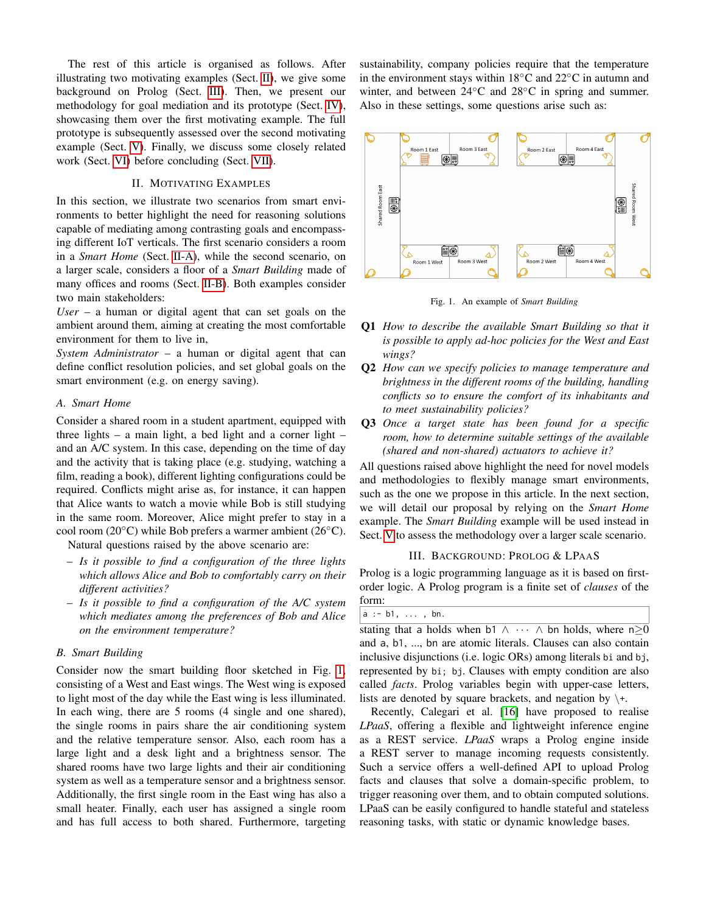The rest of this article is organised as follows. After illustrating two motivating examples (Sect. [II\)](#page-1-0), we give some background on Prolog (Sect. [III\)](#page-1-1). Then, we present our methodology for goal mediation and its prototype (Sect. [IV\)](#page-2-0), showcasing them over the first motivating example. The full prototype is subsequently assessed over the second motivating example (Sect. [V\)](#page-5-0). Finally, we discuss some closely related work (Sect. [VI\)](#page-6-0) before concluding (Sect. [VII\)](#page-7-16).

## II. MOTIVATING EXAMPLES

<span id="page-1-0"></span>In this section, we illustrate two scenarios from smart environments to better highlight the need for reasoning solutions capable of mediating among contrasting goals and encompassing different IoT verticals. The first scenario considers a room in a *Smart Home* (Sect. [II-A\)](#page-1-2), while the second scenario, on a larger scale, considers a floor of a *Smart Building* made of many offices and rooms (Sect. [II-B\)](#page-1-3). Both examples consider two main stakeholders:

*User* – a human or digital agent that can set goals on the ambient around them, aiming at creating the most comfortable environment for them to live in,

*System Administrator* – a human or digital agent that can define conflict resolution policies, and set global goals on the smart environment (e.g. on energy saving).

#### <span id="page-1-2"></span>*A. Smart Home*

Consider a shared room in a student apartment, equipped with three lights – a main light, a bed light and a corner light – and an A/C system. In this case, depending on the time of day and the activity that is taking place (e.g. studying, watching a film, reading a book), different lighting configurations could be required. Conflicts might arise as, for instance, it can happen that Alice wants to watch a movie while Bob is still studying in the same room. Moreover, Alice might prefer to stay in a cool room (20◦C) while Bob prefers a warmer ambient (26◦C).

Natural questions raised by the above scenario are:

- *Is it possible to find a configuration of the three lights which allows Alice and Bob to comfortably carry on their different activities?*
- *Is it possible to find a configuration of the A/C system which mediates among the preferences of Bob and Alice on the environment temperature?*

## <span id="page-1-3"></span>*B. Smart Building*

Consider now the smart building floor sketched in Fig. [1,](#page-1-4) consisting of a West and East wings. The West wing is exposed to light most of the day while the East wing is less illuminated. In each wing, there are 5 rooms (4 single and one shared), the single rooms in pairs share the air conditioning system and the relative temperature sensor. Also, each room has a large light and a desk light and a brightness sensor. The shared rooms have two large lights and their air conditioning system as well as a temperature sensor and a brightness sensor. Additionally, the first single room in the East wing has also a small heater. Finally, each user has assigned a single room and has full access to both shared. Furthermore, targeting sustainability, company policies require that the temperature in the environment stays within 18◦C and 22◦C in autumn and winter, and between 24◦C and 28◦C in spring and summer. Also in these settings, some questions arise such as:



<span id="page-1-4"></span>Fig. 1. An example of *Smart Building*

- Q1 *How to describe the available Smart Building so that it is possible to apply ad-hoc policies for the West and East wings?*
- Q2 *How can we specify policies to manage temperature and brightness in the different rooms of the building, handling conflicts so to ensure the comfort of its inhabitants and to meet sustainability policies?*
- Q3 *Once a target state has been found for a specific room, how to determine suitable settings of the available (shared and non-shared) actuators to achieve it?*

All questions raised above highlight the need for novel models and methodologies to flexibly manage smart environments, such as the one we propose in this article. In the next section, we will detail our proposal by relying on the *Smart Home* example. The *Smart Building* example will be used instead in Sect. [V](#page-5-0) to assess the methodology over a larger scale scenario.

#### III. BACKGROUND: PROLOG & LPAAS

<span id="page-1-1"></span>Prolog is a logic programming language as it is based on firstorder logic. A Prolog program is a finite set of *clauses* of the form:

stating that a holds when b1  $\wedge \cdots \wedge$  bn holds, where n>0 and a, b1, ..., bn are atomic literals. Clauses can also contain inclusive disjunctions (i.e. logic ORs) among literals bi and bj, represented by bi; bj. Clauses with empty condition are also called *facts*. Prolog variables begin with upper-case letters, lists are denoted by square brackets, and negation by  $\$ +.

Recently, Calegari et al. [\[16\]](#page-7-15) have proposed to realise *LPaaS*, offering a flexible and lightweight inference engine as a REST service. *LPaaS* wraps a Prolog engine inside a REST server to manage incoming requests consistently. Such a service offers a well-defined API to upload Prolog facts and clauses that solve a domain-specific problem, to trigger reasoning over them, and to obtain computed solutions. LPaaS can be easily configured to handle stateful and stateless reasoning tasks, with static or dynamic knowledge bases.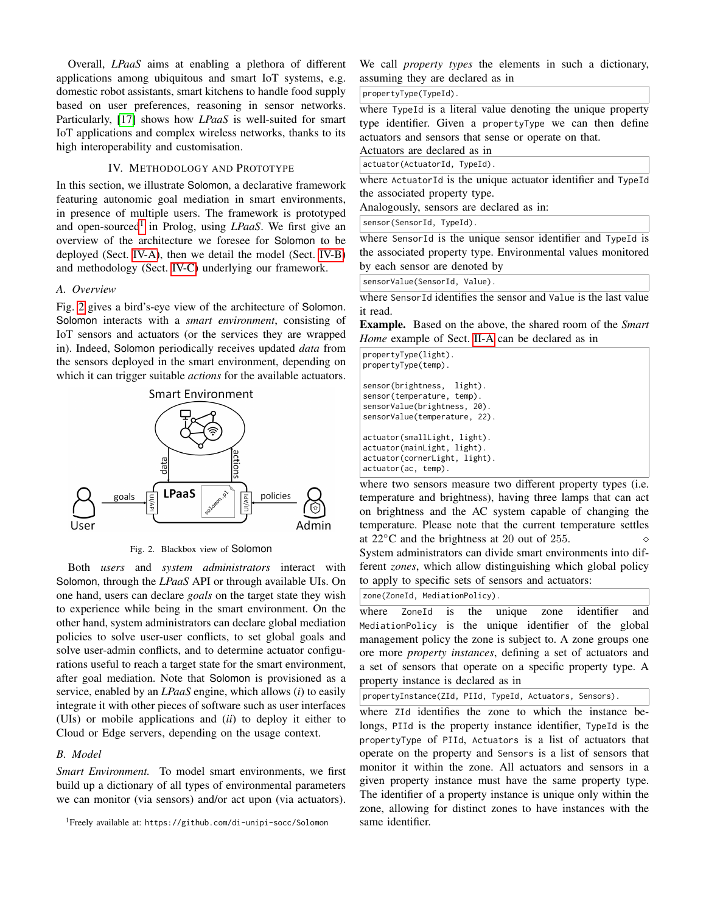Overall, *LPaaS* aims at enabling a plethora of different applications among ubiquitous and smart IoT systems, e.g. domestic robot assistants, smart kitchens to handle food supply based on user preferences, reasoning in sensor networks. Particularly, [\[17\]](#page-7-17) shows how *LPaaS* is well-suited for smart IoT applications and complex wireless networks, thanks to its high interoperability and customisation.

#### IV. METHODOLOGY AND PROTOTYPE

<span id="page-2-0"></span>In this section, we illustrate Solomon, a declarative framework featuring autonomic goal mediation in smart environments, in presence of multiple users. The framework is prototyped and open-sourced<sup>[1](#page-2-1)</sup> in Prolog, using *LPaaS*. We first give an overview of the architecture we foresee for Solomon to be deployed (Sect. [IV-A\)](#page-2-2), then we detail the model (Sect. [IV-B\)](#page-2-3) and methodology (Sect. [IV-C\)](#page-3-0) underlying our framework.

#### <span id="page-2-2"></span>*A. Overview*

Fig. [2](#page-2-4) gives a bird's-eye view of the architecture of Solomon. Solomon interacts with a *smart environment*, consisting of IoT sensors and actuators (or the services they are wrapped in). Indeed, Solomon periodically receives updated *data* from the sensors deployed in the smart environment, depending on which it can trigger suitable *actions* for the available actuators.



<span id="page-2-4"></span>Fig. 2. Blackbox view of Solomon

Both *users* and *system administrators* interact with Solomon, through the *LPaaS* API or through available UIs. On one hand, users can declare *goals* on the target state they wish to experience while being in the smart environment. On the other hand, system administrators can declare global mediation policies to solve user-user conflicts, to set global goals and solve user-admin conflicts, and to determine actuator configurations useful to reach a target state for the smart environment, after goal mediation. Note that Solomon is provisioned as a service, enabled by an *LPaaS* engine, which allows (*i*) to easily integrate it with other pieces of software such as user interfaces (UIs) or mobile applications and (*ii*) to deploy it either to Cloud or Edge servers, depending on the usage context.

## <span id="page-2-3"></span>*B. Model*

*Smart Environment.* To model smart environments, we first build up a dictionary of all types of environmental parameters we can monitor (via sensors) and/or act upon (via actuators).

<span id="page-2-1"></span><sup>1</sup>Freely available at: https://github.com/di-unipi-socc/Solomon

We call *property types* the elements in such a dictionary, assuming they are declared as in

### propertyType(TypeId).

where TypeId is a literal value denoting the unique property type identifier. Given a propertyType we can then define actuators and sensors that sense or operate on that.

Actuators are declared as in

actuator(ActuatorId, TypeId).

where ActuatorId is the unique actuator identifier and TypeId the associated property type.

Analogously, sensors are declared as in:

sensor(SensorId, TypeId).

where SensorId is the unique sensor identifier and TypeId is the associated property type. Environmental values monitored by each sensor are denoted by

sensorValue(SensorId, Value).

where Sensor<sub>Id</sub> identifies the sensor and Value is the last value it read.

Example. Based on the above, the shared room of the *Smart Home* example of Sect. [II-A](#page-1-2) can be declared as in

| propertyType(light).          |
|-------------------------------|
| propertyType(temp).           |
|                               |
| sensor(brightness, light).    |
| sensor(temperature, temp).    |
| sensorValue(brightness, 20).  |
| sensorValue(temperature, 22). |
|                               |
| actuator(smallLight, light).  |
| actuator(mainLight, light).   |
| actuator(cornerLight, light). |
| $actuator(ac, temp)$ .        |

where two sensors measure two different property types (i.e. temperature and brightness), having three lamps that can act on brightness and the AC system capable of changing the temperature. Please note that the current temperature settles at 22◦C and the brightness at 20 out of 255. System administrators can divide smart environments into different *zones*, which allow distinguishing which global policy to apply to specific sets of sensors and actuators:

zone(ZoneId, MediationPolicy).

where ZoneId is the unique zone identifier and MediationPolicy is the unique identifier of the global management policy the zone is subject to. A zone groups one ore more *property instances*, defining a set of actuators and a set of sensors that operate on a specific property type. A property instance is declared as in

propertyInstance(ZId, PIId, TypeId, Actuators, Sensors).

where ZId identifies the zone to which the instance belongs, PIId is the property instance identifier, TypeId is the propertyType of PIId, Actuators is a list of actuators that operate on the property and Sensors is a list of sensors that monitor it within the zone. All actuators and sensors in a given property instance must have the same property type. The identifier of a property instance is unique only within the zone, allowing for distinct zones to have instances with the same identifier.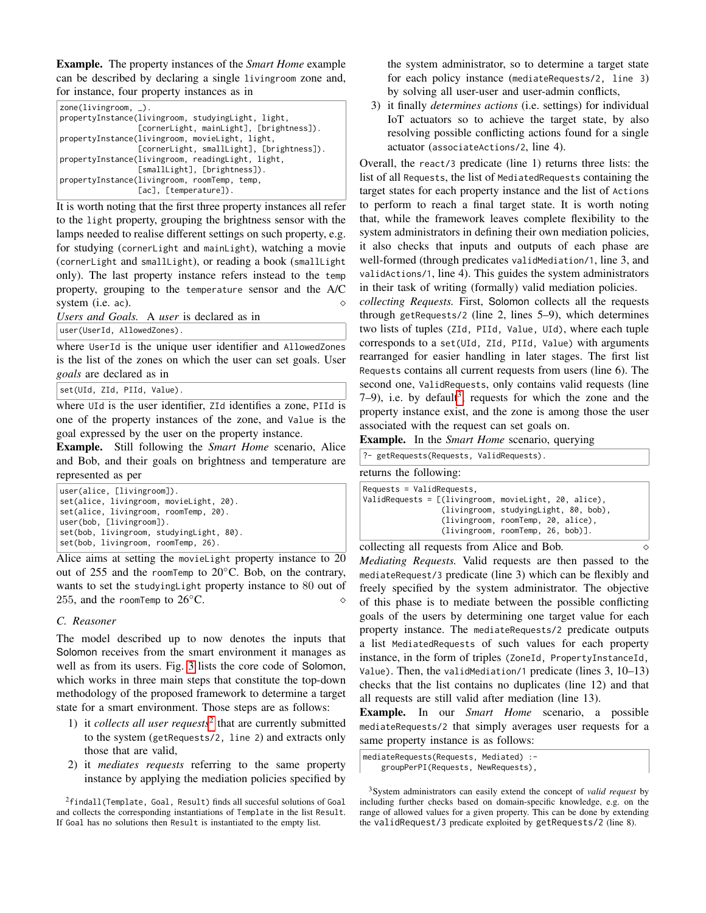Example. The property instances of the *Smart Home* example can be described by declaring a single livingroom zone and, for instance, four property instances as in

It is worth noting that the first three property instances all refer to the light property, grouping the brightness sensor with the lamps needed to realise different settings on such property, e.g. for studying (cornerLight and mainLight), watching a movie (cornerLight and smallLight), or reading a book (smallLight only). The last property instance refers instead to the temp property, grouping to the temperature sensor and the A/C system (i.e. ac).  $\Diamond$ 

*Users and Goals.* A *user* is declared as in

user(UserId, AllowedZones).

where UserId is the unique user identifier and AllowedZones is the list of the zones on which the user can set goals. User *goals* are declared as in

set(UId, ZId, PIId, Value).

where UId is the user identifier, ZId identifies a zone, PIId is one of the property instances of the zone, and Value is the goal expressed by the user on the property instance.

Example. Still following the *Smart Home* scenario, Alice and Bob, and their goals on brightness and temperature are represented as per

Alice aims at setting the movieLight property instance to 20 out of 255 and the roomTemp to 20◦C. Bob, on the contrary, wants to set the studyingLight property instance to 80 out of 255, and the roomTemp to  $26^{\circ}$ C.

# <span id="page-3-0"></span>*C. Reasoner*

The model described up to now denotes the inputs that Solomon receives from the smart environment it manages as well as from its users. Fig. [3](#page-4-0) lists the core code of Solomon, which works in three main steps that constitute the top-down methodology of the proposed framework to determine a target state for a smart environment. Those steps are as follows:

- 1) it *collects all user requests*[2](#page-3-1) that are currently submitted to the system (getRequests/2, line 2) and extracts only those that are valid,
- 2) it *mediates requests* referring to the same property instance by applying the mediation policies specified by

<span id="page-3-1"></span><sup>2</sup>findall(Template, Goal, Result) finds all succesful solutions of Goal and collects the corresponding instantiations of Template in the list Result. If Goal has no solutions then Result is instantiated to the empty list.

the system administrator, so to determine a target state for each policy instance (mediateRequests/2, line 3) by solving all user-user and user-admin conflicts,

3) it finally *determines actions* (i.e. settings) for individual IoT actuators so to achieve the target state, by also resolving possible conflicting actions found for a single actuator (associateActions/2, line 4).

Overall, the react/3 predicate (line 1) returns three lists: the list of all Requests, the list of MediatedRequests containing the target states for each property instance and the list of Actions to perform to reach a final target state. It is worth noting that, while the framework leaves complete flexibility to the system administrators in defining their own mediation policies, it also checks that inputs and outputs of each phase are well-formed (through predicates validMediation/1, line 3, and validActions/1, line 4). This guides the system administrators in their task of writing (formally) valid mediation policies.

*collecting Requests.* First, Solomon collects all the requests through getRequests/2 (line 2, lines 5–9), which determines two lists of tuples (ZId, PIId, Value, UId), where each tuple corresponds to a set(UId, ZId, PIId, Value) with arguments rearranged for easier handling in later stages. The first list Requests contains all current requests from users (line 6). The second one, ValidRequests, only contains valid requests (line  $7-9$ ), i.e. by default<sup>[3](#page-3-2)</sup>, requests for which the zone and the property instance exist, and the zone is among those the user associated with the request can set goals on.

Example. In the *Smart Home* scenario, querying

|                             | ?- getRequests(Requests, ValidRequests).                |
|-----------------------------|---------------------------------------------------------|
| returns the following:      |                                                         |
| $Requests = ValidRequests,$ |                                                         |
|                             | ValidRequests = $[(livingroom, movieLight, 20, alive),$ |
|                             | (livingroom, studyingLight, 80, bob),                   |
|                             | (livingroom, roomTemp, 20, alice),                      |
|                             | (livingroom, roomTemp, 26, bob)].                       |

collecting all requests from Alice and Bob. *Mediating Requests.* Valid requests are then passed to the mediateRequest/3 predicate (line 3) which can be flexibly and freely specified by the system administrator. The objective of this phase is to mediate between the possible conflicting goals of the users by determining one target value for each property instance. The mediateRequests/2 predicate outputs a list MediatedRequests of such values for each property instance, in the form of triples (ZoneId, PropertyInstanceId, Value). Then, the validMediation/1 predicate (lines 3, 10–13) checks that the list contains no duplicates (line 12) and that all requests are still valid after mediation (line 13).

Example. In our *Smart Home* scenario, a possible mediateRequests/2 that simply averages user requests for a same property instance is as follows:

mediateRequests(Requests, Mediated) :-

groupPerPI(Requests, NewRequests),

<span id="page-3-2"></span><sup>3</sup>System administrators can easily extend the concept of *valid request* by including further checks based on domain-specific knowledge, e.g. on the range of allowed values for a given property. This can be done by extending the validRequest/3 predicate exploited by getRequests/2 (line 8).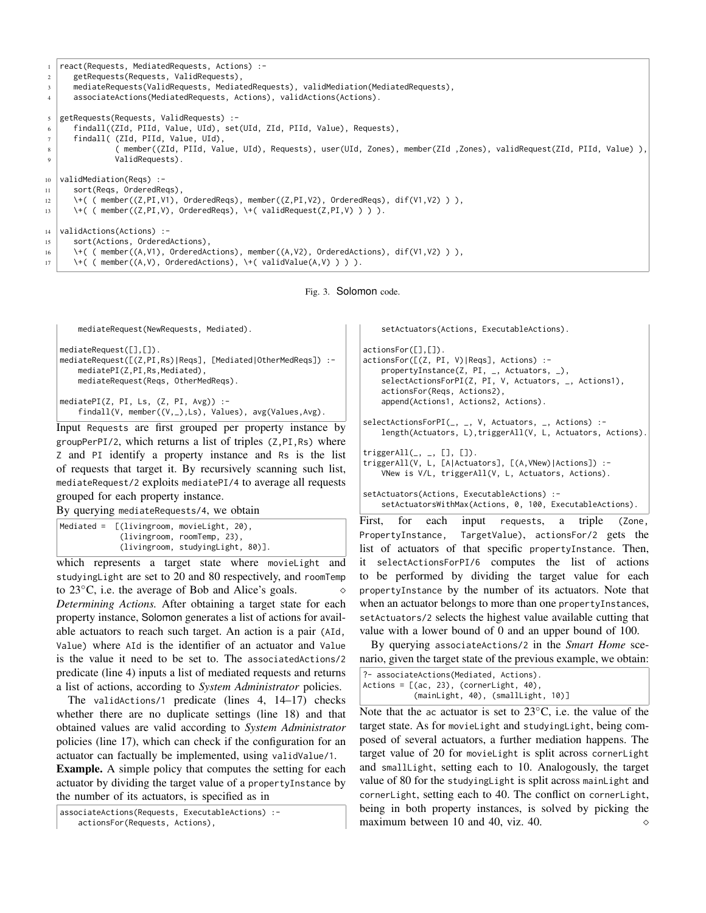

<span id="page-4-0"></span>

```
mediateRequest(NewRequests, Mediated).
mediateRequest([],[]).
mediateRequest([(Z,PI,Rs)|Reqs], [Mediated|OtherMedReqs]) :-
    mediatePI(Z,PI,Rs,Mediated),
    mediateRequest(Reqs, OtherMedReqs).
mediatePI(Z, PI, Ls, (Z, PI, Avg)) :-
    findall(V, member((V,_),Ls), Values), avg(Values,Avg).
```
Input Requests are first grouped per property instance by groupPerPI/2, which returns a list of triples (Z,PI,Rs) where Z and PI identify a property instance and Rs is the list of requests that target it. By recursively scanning such list, mediateRequest/2 exploits mediatePI/4 to average all requests grouped for each property instance.

By querying mediateRequests/4, we obtain

```
Mediated = [(livingroom, movieLight, 20),
             (livingroom, roomTemp, 23),
             (livingroom, studyingLight, 80)].
```
which represents a target state where movieLight and studyingLight are set to 20 and 80 respectively, and roomTemp to 23 $^{\circ}$ C, i.e. the average of Bob and Alice's goals.  $\diamond$ *Determining Actions.* After obtaining a target state for each property instance, Solomon generates a list of actions for available actuators to reach such target. An action is a pair (AId, Value) where AId is the identifier of an actuator and Value is the value it need to be set to. The associatedActions/2 predicate (line 4) inputs a list of mediated requests and returns a list of actions, according to *System Administrator* policies.

The validActions/1 predicate (lines 4, 14–17) checks whether there are no duplicate settings (line 18) and that obtained values are valid according to *System Administrator* policies (line 17), which can check if the configuration for an actuator can factually be implemented, using validValue/1.

Example. A simple policy that computes the setting for each actuator by dividing the target value of a propertyInstance by the number of its actuators, is specified as in

```
associateActions(Requests, ExecutableActions) :-
```
actionsFor(Requests, Actions),

setActuators(Actions, ExecutableActions).

actionsFor([],[]). actionsFor([(Z, PI, V)|Reqs], Actions) : propertyInstance(Z, PI, \_, Actuators, \_), selectActionsForPI(Z, PI, V, Actuators, \_, Actions1), actionsFor(Reqs, Actions2), append(Actions1, Actions2, Actions).

selectActionsForPI(\_, \_, V, Actuators, \_, Actions) : length(Actuators, L),triggerAll(V, L, Actuators, Actions).

```
triggerAll(\_,\_,\ [1,\ [1]).triggerAll(V, L, [A|Actuators], [(A,VNew)|Actions]) :-
    VNew is V/L, triggerAll(V, L, Actuators, Actions).
```
setActuators(Actions, ExecutableActions) : setActuatorsWithMax(Actions, 0, 100, ExecutableActions).

First, for each input requests, a triple (Zone, PropertyInstance, TargetValue), actionsFor/2 gets the list of actuators of that specific propertyInstance. Then, it selectActionsForPI/6 computes the list of actions to be performed by dividing the target value for each propertyInstance by the number of its actuators. Note that when an actuator belongs to more than one propertyInstances, setActuators/2 selects the highest value available cutting that value with a lower bound of 0 and an upper bound of 100.

By querying associateActions/2 in the *Smart Home* scenario, given the target state of the previous example, we obtain:

```
?- associateActions(Mediated, Actions).
Actions = \lceil(ac, 23), (cornerLight, 40),
           (mainLight, 40), (smallLight, 10)]
```
Note that the ac actuator is set to 23◦C, i.e. the value of the target state. As for movieLight and studyingLight, being composed of several actuators, a further mediation happens. The target value of 20 for movieLight is split across cornerLight and smallLight, setting each to 10. Analogously, the target value of 80 for the studyingLight is split across mainLight and cornerLight, setting each to 40. The conflict on cornerLight, being in both property instances, is solved by picking the maximum between 10 and 40, viz. 40.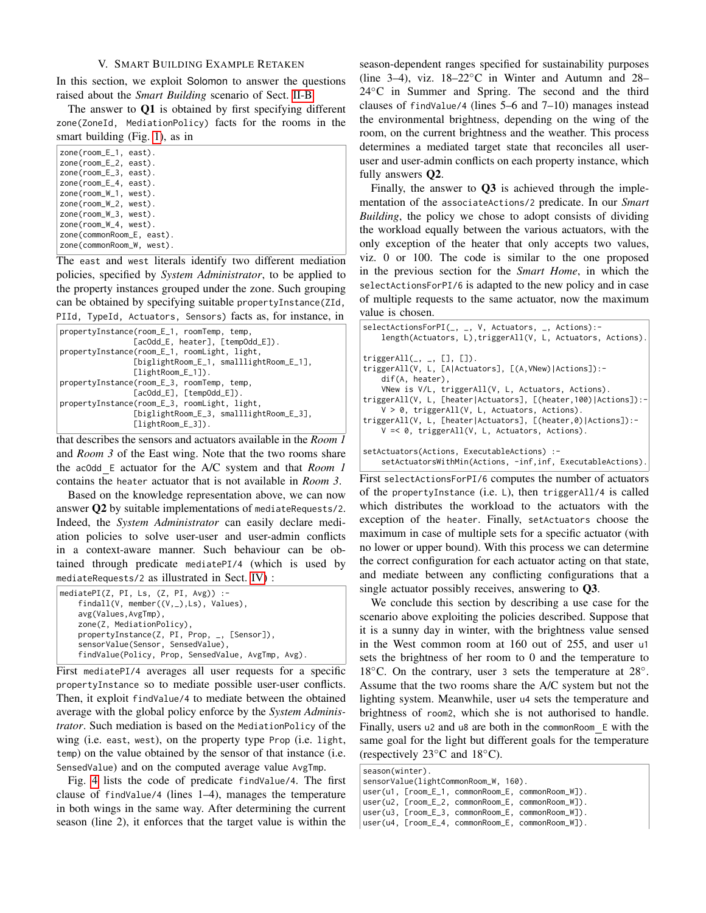## V. SMART BUILDING EXAMPLE RETAKEN

<span id="page-5-0"></span>In this section, we exploit Solomon to answer the questions raised about the *Smart Building* scenario of Sect. [II-B.](#page-1-3)

The answer to Q1 is obtained by first specifying different zone(ZoneId, MediationPolicy) facts for the rooms in the smart building (Fig. [1\)](#page-1-4), as in

| $zone(room_E_1, east).$   |  |
|---------------------------|--|
|                           |  |
| $zone(room_E_2, east).$   |  |
| $zone(room_E_3, east).$   |  |
| $zone(room_E_4, east).$   |  |
| $zone(room_W_1, west)$ .  |  |
| $zone(room_W_2, west)$ .  |  |
| $zone(room_W_3, west)$ .  |  |
| $zone(room_W_4, west)$ .  |  |
| zone(commonRoom_E, east). |  |
| zone(commonRoom_W, west). |  |

The east and west literals identify two different mediation policies, specified by *System Administrator*, to be applied to the property instances grouped under the zone. Such grouping can be obtained by specifying suitable propertyInstance(ZId, PIId, TypeId, Actuators, Sensors) facts as, for instance, in

| propertyInstance(room_E_1, roomTemp, temp,   |
|----------------------------------------------|
| [acOdd_E, heater], [tempOdd_E]).             |
| propertyInstance(room_E_1, roomLight, light, |
| [biglightRoom_E_1, smalllightRoom_E_1],      |
| $[lightRoom_E_1]\$ .                         |
| propertyInstance(room_E_3, roomTemp, temp,   |
| $[accOdd_E], [tempOdd_E]).$                  |
| propertyInstance(room_E_3, roomLight, light, |
| [biglightRoom_E_3, smalllightRoom_E_3],      |
| $[lightRoom_E_3]$ .                          |
|                                              |

that describes the sensors and actuators available in the *Room 1* and *Room 3* of the East wing. Note that the two rooms share the acOdd E actuator for the A/C system and that *Room 1* contains the heater actuator that is not available in *Room 3*.

Based on the knowledge representation above, we can now answer Q2 by suitable implementations of mediateRequests/2. Indeed, the *System Administrator* can easily declare mediation policies to solve user-user and user-admin conflicts in a context-aware manner. Such behaviour can be obtained through predicate mediatePI/4 (which is used by mediateRequests/2 as illustrated in Sect. [IV\)](#page-2-0) :

|                                               | mediatePI $(Z, PI, Ls, (Z, PI, Avg))$ :-           |  |  |
|-----------------------------------------------|----------------------------------------------------|--|--|
| findall( $V$ , member( $(V,$ ), Ls), Values), |                                                    |  |  |
|                                               | avg(Values, AvgTmp),                               |  |  |
|                                               | zone(Z, MediationPolicy),                          |  |  |
|                                               | propertyInstance(Z, PI, Prop, _, [Sensor]),        |  |  |
|                                               | sensorValue(Sensor, SensedValue),                  |  |  |
|                                               | findValue(Policy, Prop, SensedValue, AvgTmp, Avg). |  |  |

First mediatePI/4 averages all user requests for a specific propertyInstance so to mediate possible user-user conflicts. Then, it exploit findValue/4 to mediate between the obtained average with the global policy enforce by the *System Administrator*. Such mediation is based on the MediationPolicy of the wing (i.e. east, west), on the property type Prop (i.e. light, temp) on the value obtained by the sensor of that instance (i.e. SensedValue) and on the computed average value AvgTmp.

Fig. [4](#page-6-1) lists the code of predicate findValue/4. The first clause of findValue/4 (lines 1–4), manages the temperature in both wings in the same way. After determining the current season (line 2), it enforces that the target value is within the season-dependent ranges specified for sustainability purposes (line 3–4), viz.  $18-22\degree$ C in Winter and Autumn and 28– 24◦C in Summer and Spring. The second and the third clauses of findValue/4 (lines 5–6 and 7–10) manages instead the environmental brightness, depending on the wing of the room, on the current brightness and the weather. This process determines a mediated target state that reconciles all useruser and user-admin conflicts on each property instance, which fully answers Q2.

Finally, the answer to  $\overline{O3}$  is achieved through the implementation of the associateActions/2 predicate. In our *Smart Building*, the policy we chose to adopt consists of dividing the workload equally between the various actuators, with the only exception of the heater that only accepts two values, viz. 0 or 100. The code is similar to the one proposed in the previous section for the *Smart Home*, in which the selectActionsForPI/6 is adapted to the new policy and in case of multiple requests to the same actuator, now the maximum value is chosen.

```
selectActionsForPI(_, _, V, Actuators, _, Actions):-
    length(Actuators, L),triggerAll(V, L, Actuators, Actions).
triggerAll(\_, \_, [], []).
triggerAll(V, L, [A|Actuators], [(A,VNew)|Actions]):-
    dif(A, heater),
    VNew is V/L, triggerAll(V, L, Actuators, Actions).
triggerAll(V, L, [heater|Actuators], [(heater,100)|Actions]):-
    V > 0, triggerAll(V, L, Actuators, Actions).
triggerAll(V, L, [heater|Actuators], [(heater,0)|Actions]):-
    V =< 0, triggerAll(V, L, Actuators, Actions).
setActuators(Actions, ExecutableActions) :-
    setActuatorsWithMin(Actions, -inf,inf, ExecutableActions).
```
First selectActionsForPI/6 computes the number of actuators of the propertyInstance (i.e. L), then triggerAll/4 is called which distributes the workload to the actuators with the exception of the heater. Finally, setActuators choose the maximum in case of multiple sets for a specific actuator (with no lower or upper bound). With this process we can determine the correct configuration for each actuator acting on that state, and mediate between any conflicting configurations that a single actuator possibly receives, answering to Q3.

We conclude this section by describing a use case for the scenario above exploiting the policies described. Suppose that it is a sunny day in winter, with the brightness value sensed in the West common room at 160 out of 255, and user u1 sets the brightness of her room to 0 and the temperature to 18℃. On the contrary, user 3 sets the temperature at 28°. Assume that the two rooms share the A/C system but not the lighting system. Meanwhile, user u4 sets the temperature and brightness of room2, which she is not authorised to handle. Finally, users u2 and u8 are both in the commonRoom E with the same goal for the light but different goals for the temperature (respectively 23◦C and 18◦C).

| season(winter).<br>sensorValue(lightCommonRoom_W, 160).                                                  |  |
|----------------------------------------------------------------------------------------------------------|--|
| $user(u1, [room_E_1, commonRoom_E, commonRoom_W]).$<br>user(u2, [room_E_2, commonRoom_E, commonRoom_W]). |  |
| user(u3, [room_E_3, commonRoom_E, commonRoom_W]).                                                        |  |
| user(u4, [room_E_4, commonRoom_E, commonRoom_W]).                                                        |  |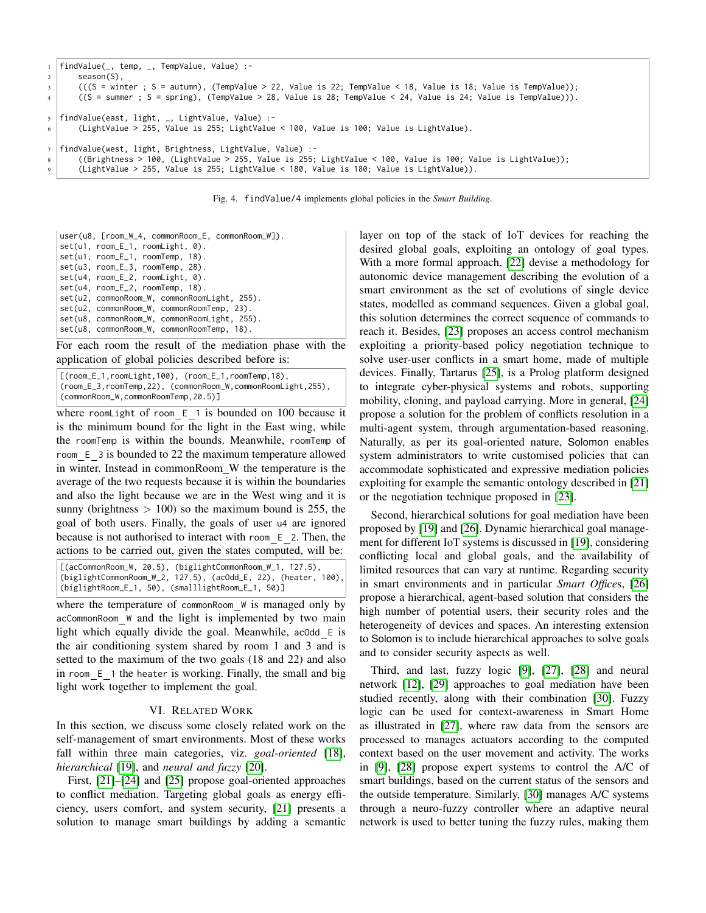```
1 findValue(_, temp, _, TempValue, Value) :-
2 season(S),
3 (((S = winter ; S = autumn), (TempValue > 22, Value is 22; TempValue < 18, Value is 18; Value is TempValue));
4 ((S = summer ; S = spring), (TempValue > 28, Value is 28; TempValue < 24, Value is 24; Value is TempValue))).
5 findValue(east, light, _, LightValue, Value) :-
6 (LightValue > 255, Value is 255; LightValue < 100, Value is 100; Value is LightValue).
  findValue(west, light, Brightness, LightValue, Value) :-
8 ((Brightness > 100, (LightValue > 255, Value is 255; LightValue < 100, Value is 100; Value is LightValue));
9 (LightValue > 255, Value is 255; LightValue < 180, Value is 180; Value is LightValue)).
```
<span id="page-6-1"></span>Fig. 4. findValue/4 implements global policies in the *Smart Building*.

user(u8, [room\_W\_4, commonRoom\_E, commonRoom\_W]). set(u1, room\_E\_1, roomLight, 0). set(u1, room\_E\_1, roomTemp, 18). set(u3, room\_E\_3, roomTemp, 28). set(u4, room\_E\_2, roomLight, 0). set(u4, room\_E\_2, roomTemp, 18). set(u2, commonRoom\_W, commonRoomLight, 255). set(u2, commonRoom\_W, commonRoomTemp, 23). set(u8, commonRoom\_W, commonRoomLight, 255). set(u8, commonRoom\_W, commonRoomTemp, 18).

For each room the result of the mediation phase with the application of global policies described before is:

```
[(room_E_1,roomLight,100), (room_E_1,roomTemp,18),
(room_E_3,roomTemp,22), (commonRoom_W,commonRoomLight,255),
(commonRoom_W,commonRoomTemp,20.5)]
```
where roomLight of room  $E_1$  is bounded on 100 because it is the minimum bound for the light in the East wing, while the roomTemp is within the bounds. Meanwhile, roomTemp of room E 3 is bounded to 22 the maximum temperature allowed in winter. Instead in commonRoom\_W the temperature is the average of the two requests because it is within the boundaries and also the light because we are in the West wing and it is sunny (brightness  $> 100$ ) so the maximum bound is 255, the goal of both users. Finally, the goals of user u4 are ignored because is not authorised to interact with room E 2. Then, the actions to be carried out, given the states computed, will be:

[(acCommonRoom\_W, 20.5), (biglightCommonRoom\_W\_1, 127.5), (biglightCommonRoom\_W\_2, 127.5), (acOdd\_E, 22), (heater, 100), (biglightRoom\_E\_1, 50), (smalllightRoom\_E\_1, 50)]

where the temperature of commonRoom W is managed only by acCommonRoom W and the light is implemented by two main light which equally divide the goal. Meanwhile, acOdd E is the air conditioning system shared by room 1 and 3 and is setted to the maximum of the two goals (18 and 22) and also in room  $E$  1 the heater is working. Finally, the small and big light work together to implement the goal.

## VI. RELATED WORK

<span id="page-6-0"></span>In this section, we discuss some closely related work on the self-management of smart environments. Most of these works fall within three main categories, viz. *goal-oriented* [\[18\]](#page-7-18), *hierarchical* [\[19\]](#page-7-19), and *neural and fuzzy* [\[20\]](#page-7-20).

First, [\[21\]](#page-7-21)–[\[24\]](#page-7-22) and [\[25\]](#page-7-23) propose goal-oriented approaches to conflict mediation. Targeting global goals as energy efficiency, users comfort, and system security, [\[21\]](#page-7-21) presents a solution to manage smart buildings by adding a semantic layer on top of the stack of IoT devices for reaching the desired global goals, exploiting an ontology of goal types. With a more formal approach, [\[22\]](#page-7-24) devise a methodology for autonomic device management describing the evolution of a smart environment as the set of evolutions of single device states, modelled as command sequences. Given a global goal, this solution determines the correct sequence of commands to reach it. Besides, [\[23\]](#page-7-25) proposes an access control mechanism exploiting a priority-based policy negotiation technique to solve user-user conflicts in a smart home, made of multiple devices. Finally, Tartarus [\[25\]](#page-7-23), is a Prolog platform designed to integrate cyber-physical systems and robots, supporting mobility, cloning, and payload carrying. More in general, [\[24\]](#page-7-22) propose a solution for the problem of conflicts resolution in a multi-agent system, through argumentation-based reasoning. Naturally, as per its goal-oriented nature, Solomon enables system administrators to write customised policies that can accommodate sophisticated and expressive mediation policies exploiting for example the semantic ontology described in [\[21\]](#page-7-21) or the negotiation technique proposed in [\[23\]](#page-7-25).

Second, hierarchical solutions for goal mediation have been proposed by [\[19\]](#page-7-19) and [\[26\]](#page-7-26). Dynamic hierarchical goal management for different IoT systems is discussed in [\[19\]](#page-7-19), considering conflicting local and global goals, and the availability of limited resources that can vary at runtime. Regarding security in smart environments and in particular *Smart Office*s, [\[26\]](#page-7-26) propose a hierarchical, agent-based solution that considers the high number of potential users, their security roles and the heterogeneity of devices and spaces. An interesting extension to Solomon is to include hierarchical approaches to solve goals and to consider security aspects as well.

Third, and last, fuzzy logic [\[9\]](#page-7-8), [\[27\]](#page-7-27), [\[28\]](#page-7-28) and neural network [\[12\]](#page-7-11), [\[29\]](#page-7-29) approaches to goal mediation have been studied recently, along with their combination [\[30\]](#page-7-30). Fuzzy logic can be used for context-awareness in Smart Home as illustrated in [\[27\]](#page-7-27), where raw data from the sensors are processed to manages actuators according to the computed context based on the user movement and activity. The works in [\[9\]](#page-7-8), [\[28\]](#page-7-28) propose expert systems to control the A/C of smart buildings, based on the current status of the sensors and the outside temperature. Similarly, [\[30\]](#page-7-30) manages A/C systems through a neuro-fuzzy controller where an adaptive neural network is used to better tuning the fuzzy rules, making them